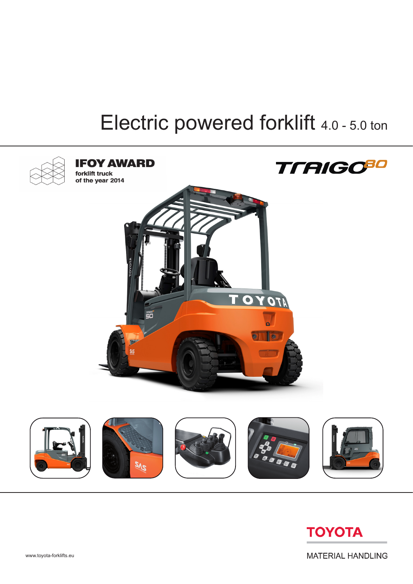## Electric powered forklift 4.0 - 5.0 ton





**MATERIAL HANDLING**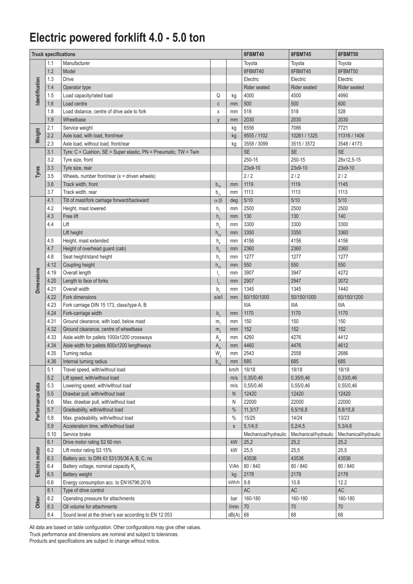## **Electric powered forklift 4.0 - 5.0 ton**

|                       | <b>Truck specifications</b> |                                                                  | 8FBMT40                          | 8FBMT45      | 8FBMT50              |                      |                      |  |
|-----------------------|-----------------------------|------------------------------------------------------------------|----------------------------------|--------------|----------------------|----------------------|----------------------|--|
|                       | 1.1                         | Manufacturer                                                     |                                  |              | Toyota               | Toyota               | Toyota               |  |
|                       | 1.2                         | Model                                                            |                                  |              | 8FBMT40              | 8FBMT45              | 8FBMT50              |  |
|                       | 1.3                         | <b>Drive</b>                                                     |                                  |              | Electric             | Electric             | Electric             |  |
| <b>Identification</b> | 1.4                         | Operator type                                                    |                                  |              | Rider seated         | Rider seated         | Rider seated         |  |
|                       | 1.5                         | Load capacity/rated load                                         | Q                                | kg           | 4000                 | 4500                 | 4990                 |  |
|                       | 1.6                         | Load centre                                                      | $\mathtt{C}$                     | mm           | 500                  | 500                  | 600                  |  |
|                       | 1.8                         | Load distance, centre of drive axle to fork                      | X                                | mm           | 518                  | 518                  | 528                  |  |
|                       | 1.9                         | Wheelbase                                                        | y                                | mm           | 2030                 | 2030                 | 2030                 |  |
|                       | 2.1                         | Service weight                                                   |                                  | kg           | 6556                 | 7086                 | 7721                 |  |
| Weight                | 2.2                         | Axle load, with load, front/rear                                 |                                  | kg           | 9555 / 1102          | 10261 / 1325         | 11316 / 1406         |  |
|                       | 2.3                         | Axle load, without load, front/rear                              |                                  | kg           | 3558 / 3099          | 3515 / 3572          | 3548 / 4173          |  |
|                       | 3.1                         | Tyre: C = Cushion, SE = Super elastic, PN = Pneumatic, TW = Twin |                                  |              | <b>SE</b>            | <b>SE</b>            | <b>SE</b>            |  |
|                       | 3.2                         | Tyre size, front                                                 |                                  |              | 250-15               | 250-15               | 28x12,5-15           |  |
| Tyres                 | 3.3                         | Tyre size, rear                                                  |                                  |              | 23x9-10              | 23x9-10              | 23x9-10              |  |
|                       | 3.5                         | Wheels, number front/rear $(x =$ driven wheels)                  |                                  |              | 2/2                  | 2/2                  | 2/2                  |  |
|                       | 3.6                         | Track width, front                                               | $b_{10}$                         | mm           | 1119                 | 1119                 | 1145                 |  |
|                       | 3.7                         | Track width, rear                                                | $b_{11}$                         | mm           | 1113                 | 1113                 | 1113                 |  |
|                       | 4.1                         | Tilt of mast/fork carriage forward/backward                      | $\alpha/\beta$                   | deg          | $5/10$               | $5/10$               | $5/10$               |  |
|                       | 4.2                         | Height, mast lowered                                             | h,                               | mm           | 2500                 | 2500                 | 2500                 |  |
|                       | 4.3                         | Free lift                                                        | h <sub>2</sub>                   | mm           | 130                  | 130                  | 140                  |  |
| <b>Dimensions</b>     | 4.4                         | Lift                                                             | $h_{3}$                          | mm           | 3300                 | 3300                 | 3300                 |  |
|                       |                             | Lift height                                                      | $h_{23}$                         | mm           | 3350                 | 3350                 | 3360                 |  |
|                       | 4.5                         | Height, mast extended                                            | h <sub>4</sub>                   | mm           | 4156                 | 4156                 | 4156                 |  |
|                       | 4.7                         | Height of overhead guard (cab)                                   | $h_{\kappa}$                     | mm           | 2360                 | 2360                 | 2360                 |  |
|                       | 4.8                         | Seat height/stand height                                         | h <sub>7</sub>                   | mm           | 1277                 | 1277                 | 1277                 |  |
|                       | 4.12                        | Coupling height                                                  | $h_{10}$                         | mm           | 550                  | 550                  | 550                  |  |
|                       | 4.19                        | Overall length                                                   | I,                               | mm           | 3907                 | 3947                 | 4272                 |  |
|                       | 4.20                        | Length to face of forks                                          | $\mathsf{I}_{2}$                 | mm           | 2907                 | 2947                 | 3072                 |  |
|                       | 4.21                        | Overall width                                                    | $b_{1}$                          | mm           | 1345                 | 1345                 | 1440                 |  |
|                       | 4.22                        | Fork dimensions                                                  | s/e/l                            | mm           | 50/150/1000          | 50/150/1000          | 60/150/1200          |  |
|                       | 4.23                        | Fork carriage DIN 15 173, class/type A, B                        |                                  |              | <b>IIIA</b>          | <b>IIIA</b>          | <b>IIIA</b>          |  |
|                       | 4.24                        | Fork-carriage width                                              | $b^{\,}_{\scriptscriptstyle{2}}$ | mm           | 1170                 | 1170                 | 1170                 |  |
|                       | 4.31                        | Ground clearance, with load, below mast                          | m <sub>4</sub>                   | mm           | 150                  | 150                  | 150                  |  |
|                       | 4.32                        | Ground clearance, centre of wheelbase                            | m <sub>2</sub>                   | mm           | 152                  | 152                  | 152                  |  |
|                       | 4.33                        | Aisle width for pallets 1000x1200 crossways                      | A <sub>st</sub>                  | mm           | 4260                 | 4276                 | 4412                 |  |
|                       | 4.34                        | Aisle width for pallets 800x1200 lengthways                      | $A_{st}$                         | mm           | 4460                 | 4476                 | 4612                 |  |
|                       | 4.35                        | Turning radius                                                   | $W_{a}$                          | mm           | 2543                 | 2558                 | 2686                 |  |
|                       | 4.36                        | Internal turning radius                                          | $b_{13}$                         | mm           | 685                  | 685                  | 685                  |  |
|                       | 5.1                         | Travel speed, with/without load                                  |                                  | km/h         | 18/18                | 18/18                | 18/18                |  |
|                       | $5.2\,$                     | Lift speed, with/without load                                    |                                  | m/s          | 0,35/0,46            | 0,35/0,46            | 0,33/0,46            |  |
|                       | 5.3                         | Lowering speed, with/without load                                |                                  | m/s          | 0,55/0,46            | 0,55/0,46            | 0,55/0,46            |  |
| Performance data      | $5.5\,$                     | Drawbar pull, with/without load                                  |                                  | $\mathsf{N}$ | 12420                | 12420                | 12420                |  |
|                       | 5.6                         | Max. drawbar pull, with/without load                             |                                  | Ν            | 22000                | 22000                | 22000                |  |
|                       | 5.7                         | Gradeability, with/without load                                  |                                  | $\%$         | 11,3/17              | 9,5/16,8             | 8,8/15,8             |  |
|                       | 5.8                         | Max. gradeability, with/without load                             |                                  | $\%$         | 15/25                | 14/24                | 13/23                |  |
|                       | $5.9$                       | Acceleration time, with/without load                             |                                  | $\mathsf S$  | 5,1/4,5              | 5,2/4,5              | 5,3/4,6              |  |
|                       | 5.10                        | Service brake                                                    |                                  |              | Mechanical/hydraulic | Mechanical/hydraulic | Mechanical/hydraulic |  |
|                       | 6.1                         | Drive motor rating S2 60 min                                     |                                  | kW           | 25,2                 | 25,2                 | 25,2                 |  |
| Electric motor        | 6.2                         | Lift motor rating S3 15%                                         |                                  | kW           | 25,5                 | 25,5                 | 25,5                 |  |
|                       | 6.3                         | Battery acc. to DIN 43 531/35/36 A, B, C, no                     |                                  |              | 43536                | 43536                | 43536                |  |
|                       | 6.4                         | Battery voltage, nominal capacity $K_{5}$                        |                                  | V/Ah         | 80 / 840             | 80 / 840             | 80 / 840             |  |
|                       | 6.5                         | Battery weight                                                   |                                  | kg           | 2178                 | 2178                 | 2178                 |  |
|                       | 6.6                         | Energy consumption acc. to EN16796:2016                          |                                  | kWh/h        | 9.8                  | 10.8                 | 12.2                 |  |
|                       | 8.1                         | Type of drive control                                            |                                  |              | $\mathsf{AC}$        | $\mathsf{AC}$        | $\mathsf{AC}$        |  |
| Other                 | 8.2                         | Operating pressure for attachments                               |                                  | bar          | 160-180              | 160-180              | 160-180              |  |
|                       | 8.3                         | Oil volume for attachments                                       |                                  | I/min        | $70\,$               | $70\,$               | $70\,$               |  |
|                       | 8.4                         | Sound level at the driver's ear according to EN 12 053           |                                  | $dB(A)$ 68   |                      | 68                   | 68                   |  |

All data are based on table configuration. Other configurations may give other values. Truck performance and dimensions are nominal and subject to tolerances.

Products and specifications are subject to change without notice.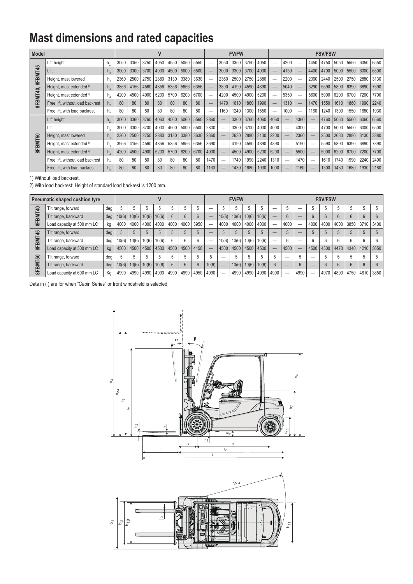## **Mast dimensions and rated capacities**

| <b>Model</b> |                                     |                |      | V    |      |      |      |      |      |                          | <b>FV/FW</b> |      |      |      |      | <b>FSV/FSW</b> |      |      |      |      |      |      |      |  |  |
|--------------|-------------------------------------|----------------|------|------|------|------|------|------|------|--------------------------|--------------|------|------|------|------|----------------|------|------|------|------|------|------|------|--|--|
| 8FBMT45      | Lift height                         | $h_{23}$       | 3050 | 3350 | 3750 | 4050 | 4550 | 5050 | 5550 | $\overline{\phantom{0}}$ | 3050         | 3350 | 3750 | 4050 |      | 4200           | -    | 4450 | 4750 | 5050 | 5550 | 6050 | 6550 |  |  |
|              | Lift                                | h <sub>3</sub> | 3000 | 3300 | 3700 | 4000 | 4500 | 5000 | 5500 |                          | 3000         | 3300 | 3700 | 4000 |      | 4150           | –    | 4400 | 4700 | 5000 | 5500 | 6000 | 6500 |  |  |
|              | Height, mast lowered                | h.             | 2360 | 2500 | 2750 | 2880 | 3130 | 3380 | 3630 | $\overline{\phantom{0}}$ | 2360         | 2500 | 2750 | 2880 |      | 2200           |      | 2360 | 2440 | 2500 | 2750 | 2880 | 3130 |  |  |
|              | Height, mast extended <sup>1)</sup> | $h_{\lambda}$  | 3856 | 4156 | 4560 | 4856 | 5356 | 5856 | 6356 |                          | 3890         | 4190 | 4590 | 4890 |      | 5040           | –    | 5290 | 5590 | 5890 | 6390 | 6890 | 7390 |  |  |
| SFBMT40,     | Height, mast extended <sup>2)</sup> | h.             | 4200 | 4500 | 4900 | 5200 | 5700 | 6200 | 6700 | -                        | 4200         | 4500 | 4900 | 5200 |      | 5350           | –    | 5600 | 5900 | 6200 | 6700 | 7200 | 7700 |  |  |
|              | Free lift, without load backrest    | h,             | 80   | 80   | 80   | 80   | 80   | 80   | 80   |                          | 1470         | 1610 | 1860 | 1990 |      | 1310           | –    | 1470 | 1550 | 1610 | 1860 | 1990 | 2240 |  |  |
|              | Free lift, with load backrest       | h,             | 80   | 80   | 80   | 80   | 80   | 80   | 80   | $\overline{\phantom{0}}$ | 1160         | 1240 | 1300 | 1550 |      | 1000           | -    | 1160 | 1240 | 1300 | 1550 | 1680 | 1930 |  |  |
|              | Lift height                         | $h_{23}$       | 3060 | 3360 | 3760 | 4060 | 4560 | 5060 | 5560 | 2860                     |              | 3360 | 3760 | 4060 | 4060 | -              | 4360 |      | 4760 | 5060 | 5560 | 6060 | 6560 |  |  |
|              | Lift                                | h.             | 3000 | 3300 | 3700 | 4000 | 4500 | 5000 | 5500 | 2800                     |              | 3300 | 3700 | 4000 | 4000 | -              | 4300 |      | 4700 | 5000 | 5500 | 6000 | 6500 |  |  |
| 8FBMT50      | Height, mast lowered                | h.             | 2360 | 2500 | 2750 | 2880 | 3130 | 3380 | 3630 | 2360                     | —            | 2630 | 2880 | 3130 | 2200 | –              | 2360 |      | 2500 | 2630 | 2880 | 3130 | 3380 |  |  |
|              | Height, mast extended <sup>1)</sup> | h.             | 3956 | 4156 | 4560 | 4856 | 5356 | 5856 | 6356 | 3690                     | —            | 4190 | 4590 | 4890 | 4890 |                | 5190 |      | 5590 | 5890 | 6390 | 6890 | 7390 |  |  |
|              | Height, mast extended <sup>2)</sup> | h,             | 4200 | 4500 | 4900 | 5200 | 5700 | 6200 | 6700 | 4000                     | —            | 4500 | 4900 | 5200 | 5200 | –              | 5500 |      | 5900 | 6200 | 6700 | 7200 | 7700 |  |  |
|              | Free lift, without load backrest    |                | 80   | 80   | 80   | 80   | 80   | 80   | 80   | 1470                     |              | 1740 | 1990 | 2240 | 1310 |                | 1470 |      | 1610 | 1740 | 1990 | 2240 | 2490 |  |  |
|              | Free lift, with load backrest       | $h_{\alpha}$   | 80   | 80   | 80   | 80   | 80   | 80   | 80   | 1160                     |              | 1430 | 1680 | 1930 | 1000 |                | 1160 |      | 1300 | 1430 | 1680 | 1930 | 2180 |  |  |

1) Without load backrest.

2) With load backrest; Height of standard load backrest is 1200 mm.

| Pneumatic shaped cushion tyre |                            |     |       |       |       |       |      |      |      |       | <b>FV/FW</b> |       |       |       |      |      | <b>FSV/FSW</b> |      |      |      |      |      |             |  |  |  |
|-------------------------------|----------------------------|-----|-------|-------|-------|-------|------|------|------|-------|--------------|-------|-------|-------|------|------|----------------|------|------|------|------|------|-------------|--|--|--|
| ទ<br>8FBMT                    | Tilt range, forward        | dea |       |       |       |       | b    |      |      |       |              |       |       |       |      |      |                |      |      |      |      |      |             |  |  |  |
|                               | Tilt range, backward       | deg | 10(6) | 10(6) | 10(6) | 10(6) |      |      |      |       | 10(6)        | 10(6) | 10(6) | 10(6) |      | 6    |                |      | 6    |      |      |      | 6           |  |  |  |
|                               | Load capacity at 500 mm LC | kg  | 4000  | 4000  | 4000  | 4000  | 4000 | 4000 | 3950 |       | 4000         | 4000  | 4000  | 4000  |      | 4000 | –              | 4000 | 4000 | 4000 | 3850 | 3710 | 3400        |  |  |  |
| 45<br>8FBMT                   | Tilt range, forward        | deg |       | 5     |       |       |      |      |      |       |              |       |       |       |      |      |                |      |      |      |      |      |             |  |  |  |
|                               | Tilt range, backward       | deg | 10(6) | 10(6) | 10(6) | 10(6) | 6    | 6    | 6    |       | 10(6)        | 10(6) | 10(6) | 10(6) |      | 6    |                |      | h    | h    | 6    |      |             |  |  |  |
|                               | Load capacity at 500 mm LC | kg  | 4500  | 4500  | 4500  | 4500  | 4500 | 4500 | 4450 |       | 4500         | 4500  | 4500  | 4500  |      | 4500 | –              | 4500 | 4500 | 4470 | 4340 |      | 4210   3650 |  |  |  |
| ន                             | Tilt range, forward        | deg | 5     |       |       |       | h    |      |      |       |              |       |       |       |      | -    |                |      |      |      | h    |      |             |  |  |  |
| 8FBMT:                        | Tilt range, backward       | deg | 10(6) | 10(6) | 10(6) | 10(6) | 6    | 6    | 6    | 10(6) | –            | 10(6) | 10(6) | 10(6) | 6    | –    | 6              | $-$  | 6    |      |      |      |             |  |  |  |
|                               | Load capacity at 600 mm LC | Kg  | 4990  | 4990  | 4990  | 4990  | 4990 | 4990 | 4950 | 4990  | –            | 4990  | 4990  | 4990  | 4990 | -    | 4990           |      | 4970 | 4890 | 4750 | 4610 | 3850        |  |  |  |

Data in ( ) are for when "Cabin Series" or front windshield is selected.